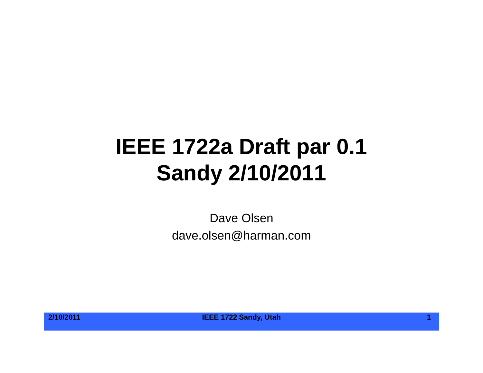## **IEEE 1722a Draft par 0.1 Sandy 2/10/2011**

Dave Olsen dave.olsen@harman.com



**2/10/2011 IEEE 1722 Sandy, Utah 1**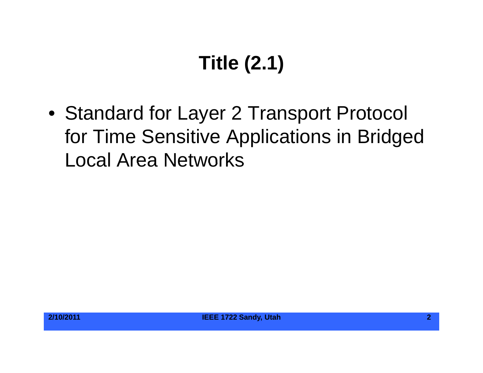# **Title (2.1)**

• Standard for Layer 2 Transport Protocol for Time Sensitive Applications in Bridged Local Area Networks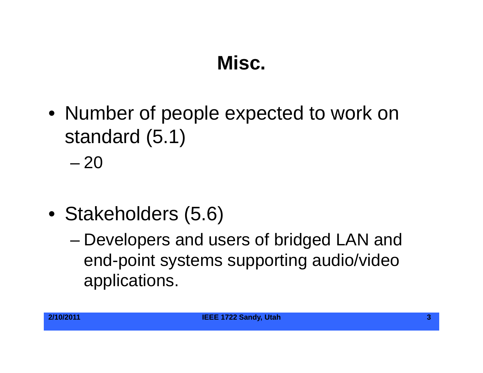#### **Misc.**

• Number of people expected to work on standard (5.1)

– 20

- Stakeholders (5.6)
	- Developers and users of bridged LAN and end-point systems supporting audio/video applications.

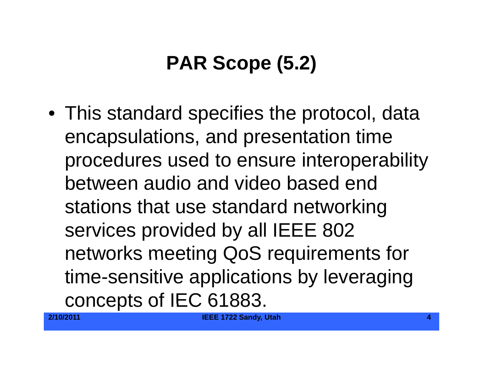### **PAR Scope (5.2)**

 $\bullet\,$  This standard specifies the protocol, data encapsulations, and presentation time procedures used to ensure interoperability between audio and video based end stations that use standard networking services provided by all IEEE 802 networks meeting QoS requirements for time-sensitive applications by leveraging concepts of IEC 61883.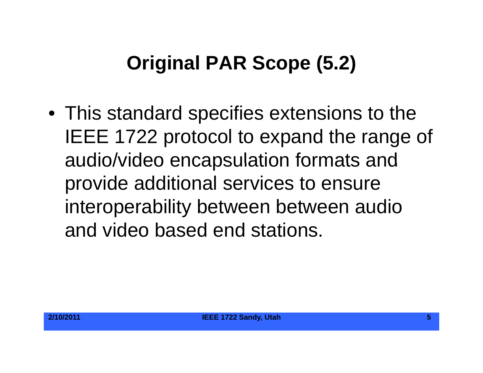#### **Original PAR Scope (5.2)**

• This standard specifies extensions to the IEEE 1722 protocol to expand the range of audio/video encapsulation formats and provide additional services to ensure interoperability between between audio and video based end stations.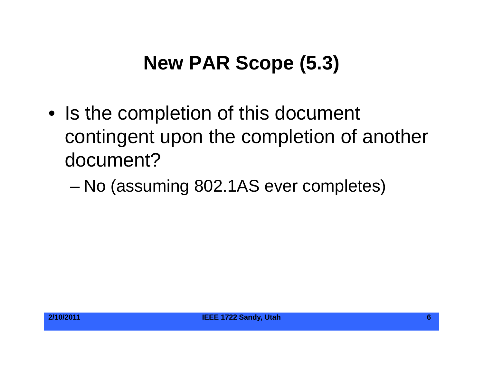#### **New PAR Scope (5.3)**

- Is the completion of this document contingent upon the completion of another document?
	- –No (assuming 802.1AS ever completes)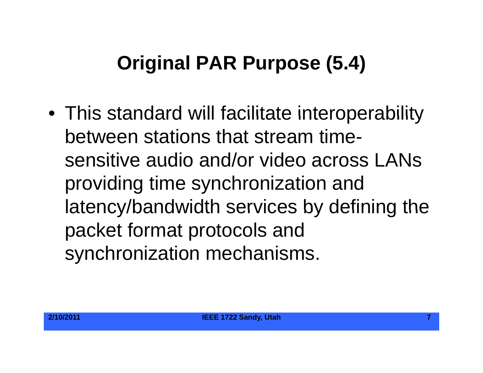#### **Original PAR Purpose (5.4)**

• This standard will facilitate interoperability between stations that stream timesensitive audio and/or video across LANs providing time synchronization and latency/bandwidth services by defining the packet format protocols and synchronization mechanisms.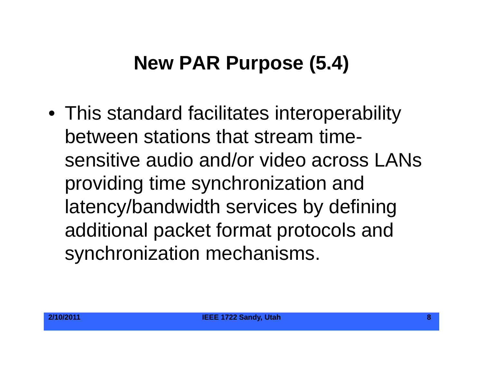#### **New PAR Purpose (5.4)**

 $\bullet\,$  This standard facilitates interoperability between stations that stream timesensitive audio and/or video across LANs providing time synchronization and latency/bandwidth services by defining additional packet format protocols and synchronization mechanisms.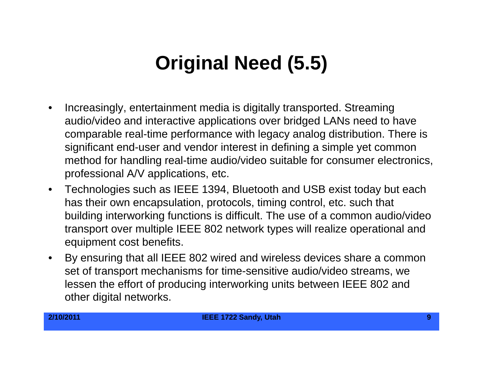#### **Original Need Original (5.5)**

- $\bullet$  Increasingly, entertainment media is digitally transported. Streaming audio/video and interactive applications over bridged LANs need to have comparable real-time performance with legacy analog distribution. There is significant end-user and vendor interest in defining a simple yet common method for handling real-time audio/video suitable for consumer electronics, professional A/V applications, etc.
- $\bullet$  Technologies such as IEEE 1394, Bluetooth and USB exist today but each has their own encapsulation, protocols, timing control, etc. such that building interworking functions is difficult. The use of a common audio/video transport over multiple IEEE 802 network types will realize operational and equipment cost benefits.
- $\bullet$ By ensuring that all IEEE 802 wired and wireless devices share a common set of transport mechanisms for time-sensitive audio/video streams, we lessen the effort of producing interworking units between IEEE 802 and other digital networks.

**2/10/2011 IEEE 1722 Sandy, Utah 9**